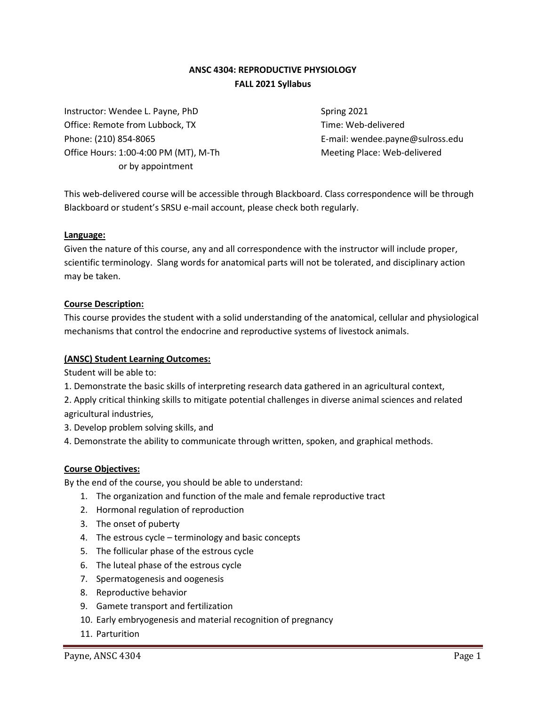# **ANSC 4304: REPRODUCTIVE PHYSIOLOGY FALL 2021 Syllabus**

Instructor: Wendee L. Payne, PhD Spring 2021 Office: Remote from Lubbock, TX Time: Web-delivered Phone: (210) 854-8065 E-mail: wendee.payne@sulross.edu Office Hours: 1:00-4:00 PM (MT), M-Th Meeting Place: Web-delivered or by appointment

This web-delivered course will be accessible through Blackboard. Class correspondence will be through Blackboard or student's SRSU e-mail account, please check both regularly.

#### **Language:**

Given the nature of this course, any and all correspondence with the instructor will include proper, scientific terminology. Slang words for anatomical parts will not be tolerated, and disciplinary action may be taken.

#### **Course Description:**

This course provides the student with a solid understanding of the anatomical, cellular and physiological mechanisms that control the endocrine and reproductive systems of livestock animals.

#### **(ANSC) Student Learning Outcomes:**

Student will be able to:

- 1. Demonstrate the basic skills of interpreting research data gathered in an agricultural context,
- 2. Apply critical thinking skills to mitigate potential challenges in diverse animal sciences and related agricultural industries,
- 3. Develop problem solving skills, and
- 4. Demonstrate the ability to communicate through written, spoken, and graphical methods.

#### **Course Objectives:**

By the end of the course, you should be able to understand:

- 1. The organization and function of the male and female reproductive tract
- 2. Hormonal regulation of reproduction
- 3. The onset of puberty
- 4. The estrous cycle terminology and basic concepts
- 5. The follicular phase of the estrous cycle
- 6. The luteal phase of the estrous cycle
- 7. Spermatogenesis and oogenesis
- 8. Reproductive behavior
- 9. Gamete transport and fertilization
- 10. Early embryogenesis and material recognition of pregnancy
- 11. Parturition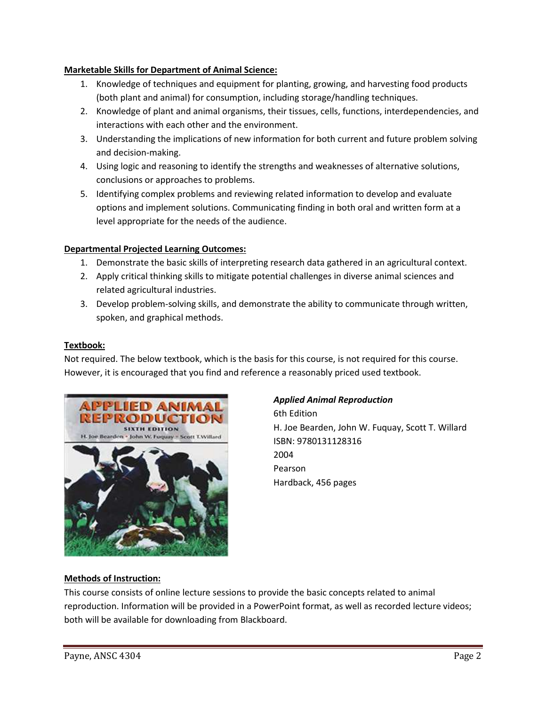## **Marketable Skills for Department of Animal Science:**

- 1. Knowledge of techniques and equipment for planting, growing, and harvesting food products (both plant and animal) for consumption, including storage/handling techniques.
- 2. Knowledge of plant and animal organisms, their tissues, cells, functions, interdependencies, and interactions with each other and the environment.
- 3. Understanding the implications of new information for both current and future problem solving and decision-making.
- 4. Using logic and reasoning to identify the strengths and weaknesses of alternative solutions, conclusions or approaches to problems.
- 5. Identifying complex problems and reviewing related information to develop and evaluate options and implement solutions. Communicating finding in both oral and written form at a level appropriate for the needs of the audience.

# **Departmental Projected Learning Outcomes:**

- 1. Demonstrate the basic skills of interpreting research data gathered in an agricultural context.
- 2. Apply critical thinking skills to mitigate potential challenges in diverse animal sciences and related agricultural industries.
- 3. Develop problem-solving skills, and demonstrate the ability to communicate through written, spoken, and graphical methods.

# **Textbook:**

Not required. The below textbook, which is the basis for this course, is not required for this course. However, it is encouraged that you find and reference a reasonably priced used textbook.



# *Applied Animal Reproduction*

6th Edition H. Joe Bearden, John W. Fuquay, Scott T. Willard ISBN: 9780131128316 2004 Pearson Hardback, 456 pages

# **Methods of Instruction:**

This course consists of online lecture sessions to provide the basic concepts related to animal reproduction. Information will be provided in a PowerPoint format, as well as recorded lecture videos; both will be available for downloading from Blackboard.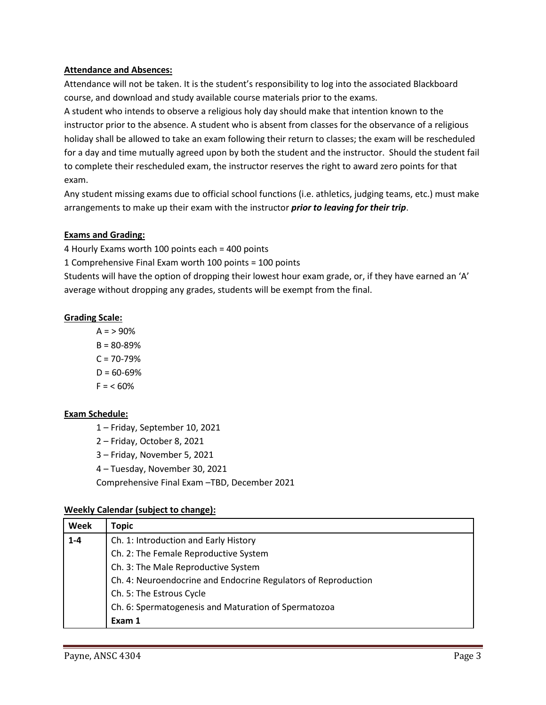### **Attendance and Absences:**

Attendance will not be taken. It is the student's responsibility to log into the associated Blackboard course, and download and study available course materials prior to the exams.

A student who intends to observe a religious holy day should make that intention known to the instructor prior to the absence. A student who is absent from classes for the observance of a religious holiday shall be allowed to take an exam following their return to classes; the exam will be rescheduled for a day and time mutually agreed upon by both the student and the instructor. Should the student fail to complete their rescheduled exam, the instructor reserves the right to award zero points for that exam.

Any student missing exams due to official school functions (i.e. athletics, judging teams, etc.) must make arrangements to make up their exam with the instructor *prior to leaving for their trip*.

### **Exams and Grading:**

4 Hourly Exams worth 100 points each = 400 points

1 Comprehensive Final Exam worth 100 points = 100 points

Students will have the option of dropping their lowest hour exam grade, or, if they have earned an 'A' average without dropping any grades, students will be exempt from the final.

### **Grading Scale:**

 $A = 90\%$  $B = 80 - 89%$  $C = 70 - 79%$  $D = 60 - 69%$  $F = < 60%$ 

## **Exam Schedule:**

1 – Friday, September 10, 2021

- 2 Friday, October 8, 2021
- 3 Friday, November 5, 2021
- 4 Tuesday, November 30, 2021
- Comprehensive Final Exam –TBD, December 2021

#### **Weekly Calendar (subject to change):**

| Week  | <b>Topic</b>                                                   |
|-------|----------------------------------------------------------------|
| $1-4$ | Ch. 1: Introduction and Early History                          |
|       | Ch. 2: The Female Reproductive System                          |
|       | Ch. 3: The Male Reproductive System                            |
|       | Ch. 4: Neuroendocrine and Endocrine Regulators of Reproduction |
|       | Ch. 5: The Estrous Cycle                                       |
|       | Ch. 6: Spermatogenesis and Maturation of Spermatozoa           |
|       | Exam 1                                                         |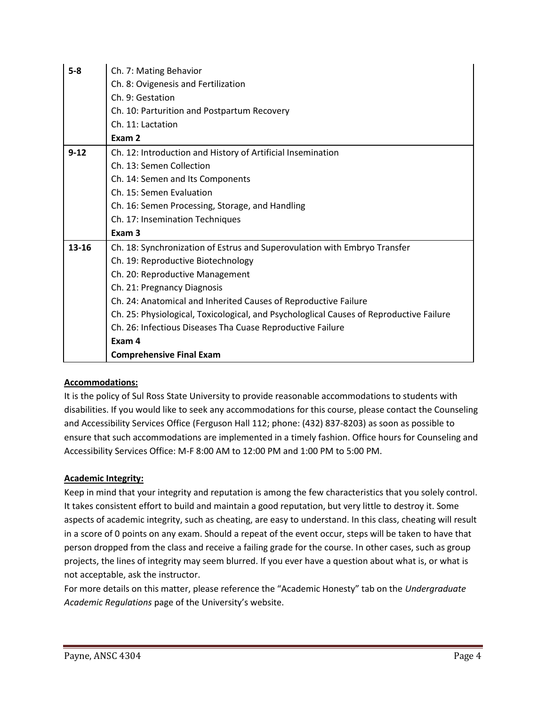| $5 - 8$  | Ch. 7: Mating Behavior                                                                  |
|----------|-----------------------------------------------------------------------------------------|
|          | Ch. 8: Ovigenesis and Fertilization                                                     |
|          | Ch. 9: Gestation                                                                        |
|          | Ch. 10: Parturition and Postpartum Recovery                                             |
|          | Ch. 11: Lactation                                                                       |
|          | Exam 2                                                                                  |
| $9 - 12$ | Ch. 12: Introduction and History of Artificial Insemination                             |
|          | Ch. 13: Semen Collection                                                                |
|          | Ch. 14: Semen and Its Components                                                        |
|          | Ch. 15: Semen Evaluation                                                                |
|          | Ch. 16: Semen Processing, Storage, and Handling                                         |
|          | Ch. 17: Insemination Techniques                                                         |
|          | Exam <sub>3</sub>                                                                       |
| 13-16    | Ch. 18: Synchronization of Estrus and Superovulation with Embryo Transfer               |
|          | Ch. 19: Reproductive Biotechnology                                                      |
|          | Ch. 20: Reproductive Management                                                         |
|          | Ch. 21: Pregnancy Diagnosis                                                             |
|          | Ch. 24: Anatomical and Inherited Causes of Reproductive Failure                         |
|          | Ch. 25: Physiological, Toxicological, and Psychologlical Causes of Reproductive Failure |
|          | Ch. 26: Infectious Diseases Tha Cuase Reproductive Failure                              |
|          | Exam 4                                                                                  |
|          | <b>Comprehensive Final Exam</b>                                                         |

## **Accommodations:**

It is the policy of Sul Ross State University to provide reasonable accommodations to students with disabilities. If you would like to seek any accommodations for this course, please contact the Counseling and Accessibility Services Office (Ferguson Hall 112; phone: (432) 837-8203) as soon as possible to ensure that such accommodations are implemented in a timely fashion. Office hours for Counseling and Accessibility Services Office: M-F 8:00 AM to 12:00 PM and 1:00 PM to 5:00 PM.

## **Academic Integrity:**

Keep in mind that your integrity and reputation is among the few characteristics that you solely control. It takes consistent effort to build and maintain a good reputation, but very little to destroy it. Some aspects of academic integrity, such as cheating, are easy to understand. In this class, cheating will result in a score of 0 points on any exam. Should a repeat of the event occur, steps will be taken to have that person dropped from the class and receive a failing grade for the course. In other cases, such as group projects, the lines of integrity may seem blurred. If you ever have a question about what is, or what is not acceptable, ask the instructor.

For more details on this matter, please reference the "Academic Honesty" tab on the *Undergraduate Academic Regulations* page of the University's website.